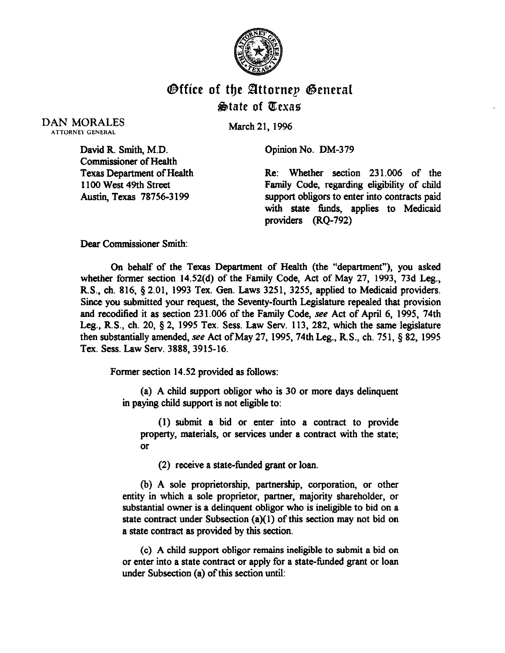

## **Office of the Attornep General State of Texas**

DAN MORALES **ATTORNEY GENERAL** 

March 21, 1996

Opinion No. DM-379

David R. Smith, M.D. Commissioner of Health Texas Department of Health 1100 West 49th Street Austin, Texas 78756-3 199

Re: Whether section 231.006 of the Family Code, regarding eligibiity of child support obligors to enter into contracts paid with state fimds, applies to Medicaid providers (RQ-792)

Dear Commissioner Smith:

On behalf of the Texas Department of Health (the "department"), you asked whether former section 14.52(d) of the Family Code, Act of May 27, 1993, 73d Leg., R.S., ch. 816, 9 2.01, 1993 Tex. Gen. Laws 3251, 3255, applied to Medicaid providers. Since you submitted your request, the Seventy-fourth Legislature repealed that provision and recodified it as section 231.006 of the Family Code, see Act of April 6, 1995, 74th Leg., R.S., ch. 20, § 2, 1995 Tex. Sess. Law Serv. 113, 282, which the same legislature then substantially amended, see Act of May 27, 1995, 74th Leg., R.S., ch. 751,  $\S$  82, 1995 Tex. Sess. Law Serv. 3888,3915-16.

Former section 14.52 provided as follows:

(a) A child support obligor who is 30 or more days delinquent in paying child support is not eligible to:

(1) submit a bid or enter into a contract to provide property, materials, or services under a contract with the state; or

(2) receive a state-funded grant or loan.

(b) A sole proprietorship, partnership, corporation, or other entity in which a sole proprietor, partner, majority shareholder, or substantial owner is a delinquent obligor who is ineligible to bid on a state contract under Subsection  $(a)(1)$  of this section may not bid on a state contract as provided by this section.

(c) A child support obligor remains ineligible to submit a bid on or enter into a state contract or apply for a state-fimded grant or loan under Subsection (a) of this section until: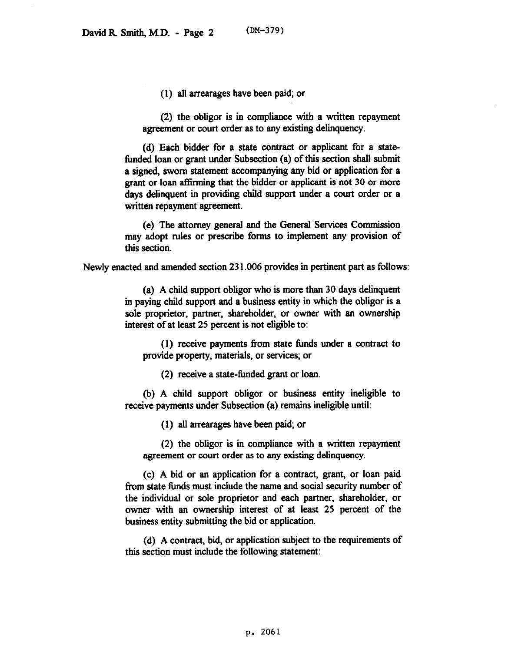(1) all arrearages have been paid; or

(2) the obligor is in compliance with a written repayment agreement or court order as to any existing delinquency.

(d) Each bidder for a state contract or applicant for a statefunded loan or grant under Subsection (a) of this section shall submit a signed, sworn statement accompanying any bid or application for a grant or loan atlirming that the bidder or applicant is not 30 or more days delinquent in providing child support under a court order or a written repayment agreement.

(e) The attorney general and the General Services Commission may adopt rules or prescribe forms to implement any provision of this section.

Newly enacted and amended section 23 1.006 provides in pertinent part as follows:

(a) A child support obligor who is more than 30 days delinquent in paying child support and a business entity in which the obligor is a sole proprietor, partner, shareholder, or owner with an ownership interest of at least 25 percent is not eligible to:

(1) receive payments from state funds under a contract to provide property, materials, or services; or

(2) receive a state-funded grant or loan.

(b) A child support obligor or business entity ineligible to receive payments under Subsection (a) remains ineligible until:

(1) all arrearages have been paid; or

(2) the obhgor is in comphance with a written repayment agreement or court order as to any existing delinquency.

(c) A bid or an application for a contract, grant, or loan paid from state funds must include the name and social security number of the individual or sole proprietor and each partner, shareholder, or owner with an ownership interest of at least 25 percent of the business entity submitting the bid or application.

(d) A contract, bid, or application subject to the requirements of this section must include the following statement: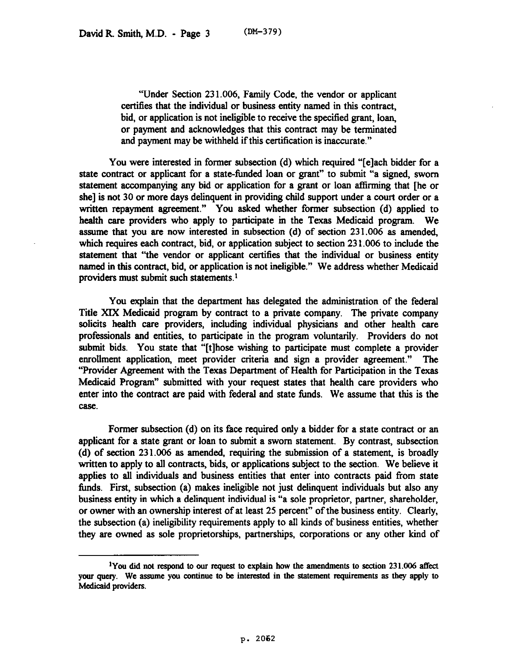"'Under Section 23 1.006, Family Code, the vendor or applicant certifies that the individual or business entity named in this contract, bid, or application is not ineligible to receive the specified grant, loan, or payment and acknowledges that this contract may be terminated and payment may be withheld if this certification is inaccurate."

You were interested in former subsection (d) which required "[elach bidder for a state contract or applicant for a state-funded loan or grant" to submit "a signed, sworn statement accompanying any bid or application for a grant or loan atlirming that [he or she] is not 30 or more days delinquent in providing child support under a court order or a written repayment agreement." You asked whether former subsection (d) applied to health care providers who apply to participate in the Texas Medicaid program. We assume that you are now interested in subsection  $(d)$  of section 231.006 as amended, which requires each contract, bid, or application subject to section 23 1.006 to include the statement that "the vendor or applicant certifies that the individual or business entity named in this contract, bid, or application is not ineligible." We address whether Medicaid providers must submit such statements.<sup>1</sup>

You explain that the department has delegated the administration of the federal Title XIX Medicaid program by contract to a private company. The private company solicits health care providers, including individual physicians and other health care professionals and entities, to participate in the program voluntarily. Providers do not submit bids. You state that "[t]hose wishing to participate must complete a provider enrollment application, meet provider criteria and sign a provider agreement." The "'Provider Agreement with the Texas Department of Health for Participation in the Texas Medicaid Program" submitted with your request states that health care providers who enter into the contract are paid with federal and state funds. We assume that this is the case.

Former subsection (d) on its face required only a bidder for a state contract or an applicant for a state grant or loan to submit a sworn statement. By contrast, subsection (d) of section 231.006 as amended, requiring the submission of a statement, is broadly written to apply to all contracts, bids, or applications subject to the section. We believe it applies to all individuals and business entities that enter into contracts paid from state funds. Fist, subsection (a) makes ineligible not just delinquent individuals but also any business entity in which a delinquent individual is "a sole proprietor, partner, shareholder, or owner with an ownership interest of at least 25 percent" of the business entity. Clearly, the subsection (a) ineligibility requirements apply to all kinds of business entities, whether they are owned as sole proprietorships, partnerships, corporations or any other kind of

<sup>&</sup>lt;sup>1</sup>You did not respond to our request to explain how the amendments to section  $231.006$  affect your query. We assume you continue to be interested in the statement requirements as they apply to Medicaid providers.